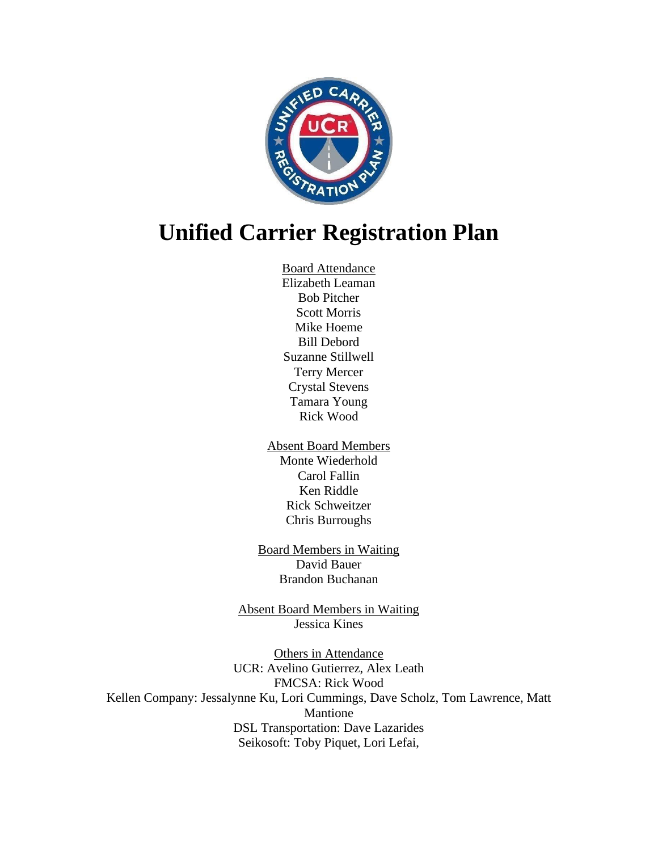

# **Unified Carrier Registration Plan**

Board Attendance Elizabeth Leaman Bob Pitcher Scott Morris Mike Hoeme Bill Debord Suzanne Stillwell Terry Mercer Crystal Stevens Tamara Young Rick Wood

Absent Board Members Monte Wiederhold Carol Fallin Ken Riddle Rick Schweitzer Chris Burroughs

Board Members in Waiting David Bauer Brandon Buchanan

Absent Board Members in Waiting Jessica Kines

Others in Attendance UCR: Avelino Gutierrez, Alex Leath FMCSA: Rick Wood Kellen Company: Jessalynne Ku, Lori Cummings, Dave Scholz, Tom Lawrence, Matt Mantione DSL Transportation: Dave Lazarides Seikosoft: Toby Piquet, Lori Lefai,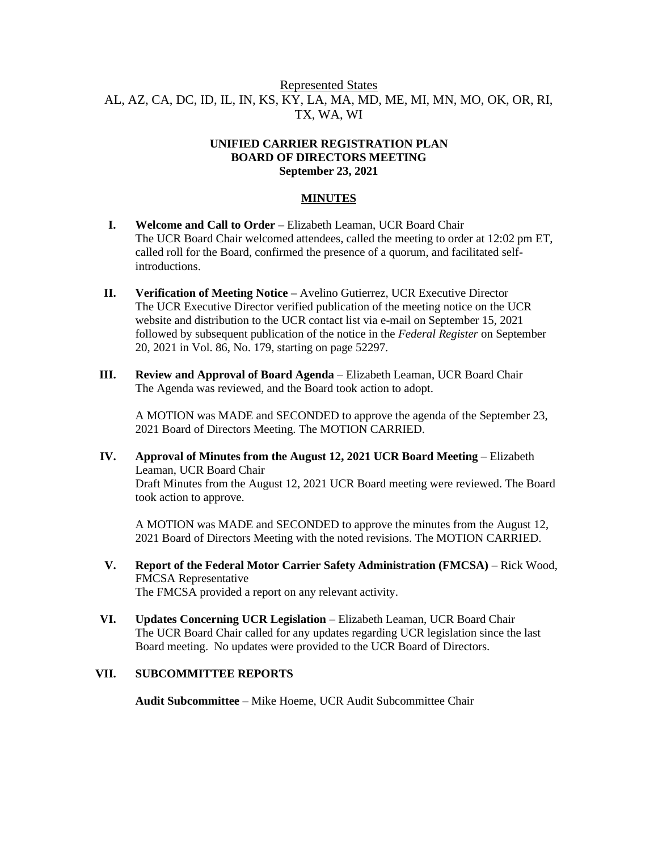# Represented States AL, AZ, CA, DC, ID, IL, IN, KS, KY, LA, MA, MD, ME, MI, MN, MO, OK, OR, RI, TX, WA, WI

#### **UNIFIED CARRIER REGISTRATION PLAN BOARD OF DIRECTORS MEETING September 23, 2021**

## **MINUTES**

- **I. Welcome and Call to Order –** Elizabeth Leaman, UCR Board Chair The UCR Board Chair welcomed attendees, called the meeting to order at 12:02 pm ET, called roll for the Board, confirmed the presence of a quorum, and facilitated selfintroductions.
- **II. Verification of Meeting Notice –** Avelino Gutierrez, UCR Executive Director The UCR Executive Director verified publication of the meeting notice on the UCR website and distribution to the UCR contact list via e-mail on September 15, 2021 followed by subsequent publication of the notice in the *Federal Register* on September 20, 2021 in Vol. 86, No. 179, starting on page 52297.
- **III. Review and Approval of Board Agenda** Elizabeth Leaman, UCR Board Chair The Agenda was reviewed, and the Board took action to adopt.

A MOTION was MADE and SECONDED to approve the agenda of the September 23, 2021 Board of Directors Meeting. The MOTION CARRIED.

**IV. Approval of Minutes from the August 12, 2021 UCR Board Meeting** – Elizabeth Leaman, UCR Board Chair Draft Minutes from the August 12, 2021 UCR Board meeting were reviewed. The Board took action to approve.

A MOTION was MADE and SECONDED to approve the minutes from the August 12, 2021 Board of Directors Meeting with the noted revisions. The MOTION CARRIED.

- **V. Report of the Federal Motor Carrier Safety Administration (FMCSA)** Rick Wood, FMCSA Representative The FMCSA provided a report on any relevant activity.
- **VI. Updates Concerning UCR Legislation** Elizabeth Leaman, UCR Board Chair The UCR Board Chair called for any updates regarding UCR legislation since the last Board meeting. No updates were provided to the UCR Board of Directors.

## **VII. SUBCOMMITTEE REPORTS**

**Audit Subcommittee** – Mike Hoeme, UCR Audit Subcommittee Chair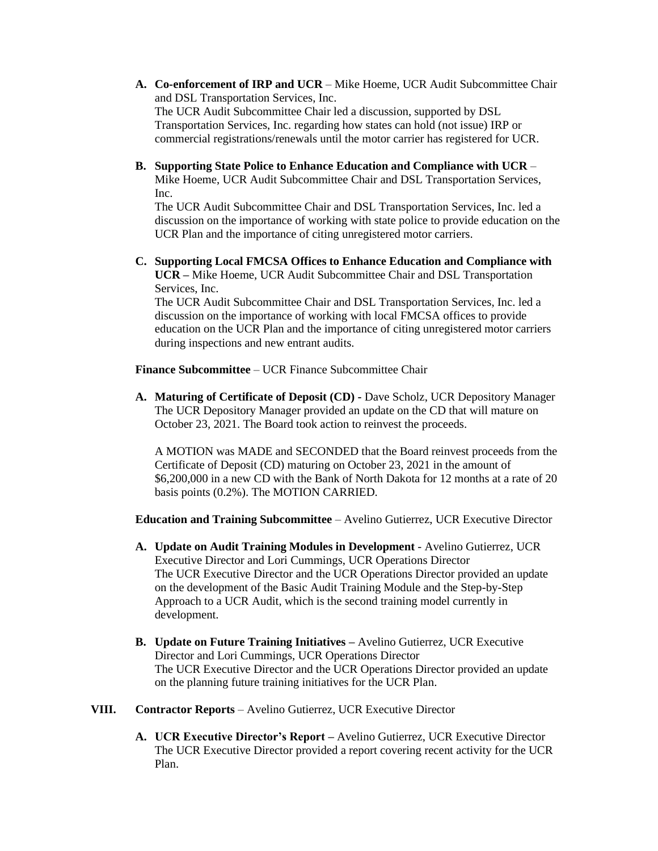- **A. Co-enforcement of IRP and UCR** Mike Hoeme, UCR Audit Subcommittee Chair and DSL Transportation Services, Inc. The UCR Audit Subcommittee Chair led a discussion, supported by DSL Transportation Services, Inc. regarding how states can hold (not issue) IRP or commercial registrations/renewals until the motor carrier has registered for UCR.
- **B. Supporting State Police to Enhance Education and Compliance with UCR** Mike Hoeme, UCR Audit Subcommittee Chair and DSL Transportation Services, Inc.

The UCR Audit Subcommittee Chair and DSL Transportation Services, Inc. led a discussion on the importance of working with state police to provide education on the UCR Plan and the importance of citing unregistered motor carriers.

**C. Supporting Local FMCSA Offices to Enhance Education and Compliance with UCR –** Mike Hoeme, UCR Audit Subcommittee Chair and DSL Transportation Services, Inc.

The UCR Audit Subcommittee Chair and DSL Transportation Services, Inc. led a discussion on the importance of working with local FMCSA offices to provide education on the UCR Plan and the importance of citing unregistered motor carriers during inspections and new entrant audits.

**Finance Subcommittee** – UCR Finance Subcommittee Chair

**A. Maturing of Certificate of Deposit (CD) -** Dave Scholz, UCR Depository Manager The UCR Depository Manager provided an update on the CD that will mature on October 23, 2021. The Board took action to reinvest the proceeds.

A MOTION was MADE and SECONDED that the Board reinvest proceeds from the Certificate of Deposit (CD) maturing on October 23, 2021 in the amount of \$6,200,000 in a new CD with the Bank of North Dakota for 12 months at a rate of 20 basis points (0.2%). The MOTION CARRIED.

**Education and Training Subcommittee** – Avelino Gutierrez, UCR Executive Director

- **A. Update on Audit Training Modules in Development** Avelino Gutierrez, UCR Executive Director and Lori Cummings, UCR Operations Director The UCR Executive Director and the UCR Operations Director provided an update on the development of the Basic Audit Training Module and the Step-by-Step Approach to a UCR Audit, which is the second training model currently in development.
- **B. Update on Future Training Initiatives –** Avelino Gutierrez, UCR Executive Director and Lori Cummings, UCR Operations Director The UCR Executive Director and the UCR Operations Director provided an update on the planning future training initiatives for the UCR Plan.
- **VIII. Contractor Reports** Avelino Gutierrez, UCR Executive Director
	- **A. UCR Executive Director's Report –** Avelino Gutierrez, UCR Executive Director The UCR Executive Director provided a report covering recent activity for the UCR Plan.